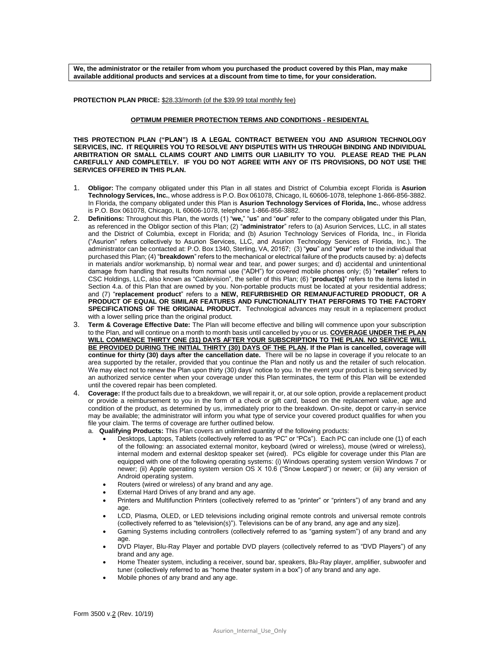**We, the administrator or the retailer from whom you purchased the product covered by this Plan, may make available additional products and services at a discount from time to time, for your consideration.** 

**PROTECTION PLAN PRICE:** \$28.33/month (of the \$39.99 total monthly fee)

## **OPTIMUM PREMIER PROTECTION TERMS AND CONDITIONS - RESIDENTAL**

**THIS PROTECTION PLAN ("PLAN") IS A LEGAL CONTRACT BETWEEN YOU AND ASURION TECHNOLOGY SERVICES, INC. IT REQUIRES YOU TO RESOLVE ANY DISPUTES WITH US THROUGH BINDING AND INDIVIDUAL ARBITRATION OR SMALL CLAIMS COURT AND LIMITS OUR LIABILITY TO YOU. PLEASE READ THE PLAN CAREFULLY AND COMPLETELY. IF YOU DO NOT AGREE WITH ANY OF ITS PROVISIONS, DO NOT USE THE SERVICES OFFERED IN THIS PLAN.**

- 1. **Obligor:** The company obligated under this Plan in all states and District of Columbia except Florida is **Asurion Technology Services, Inc.**, whose address is P.O. Box 061078, Chicago, IL 60606-1078, telephone 1-866-856-3882. In Florida, the company obligated under this Plan is **Asurion Technology Services of Florida, Inc.**, whose address is P.O. Box 061078, Chicago, IL 60606-1078, telephone 1-866-856-3882.
- 2. **Definitions:** Throughout this Plan, the words (1) "**we,**" "**us**" and "**our**" refer to the company obligated under this Plan, as referenced in the Obligor section of this Plan; (2) "**administrator**" refers to (a) Asurion Services, LLC, in all states and the District of Columbia, except in Florida; and (b) Asurion Technology Services of Florida, Inc., in Florida ("Asurion" refers collectively to Asurion Services, LLC, and Asurion Technology Services of Florida, Inc.). The administrator can be contacted at: P.O. Box 1340, Sterling, VA, 20167; (3) "**you**" and "**your**" refer to the individual that purchased this Plan; (4) "**breakdown**" refers to the mechanical or electrical failure of the products caused by: a) defects in materials and/or workmanship, b) normal wear and tear, and power surges; and d) accidental and unintentional damage from handling that results from normal use ("ADH") for covered mobile phones only; (5) "**retailer**" refers to CSC Holdings, LLC, also known as "Cablevision", the seller of this Plan; (6) "**product(s)**" refers to the items listed in Section 4.a. of this Plan that are owned by you. Non-portable products must be located at your residential address; and (7) "**replacement product**" refers to a **NEW, REFURBISHED OR REMANUFACTURED PRODUCT, OR A PRODUCT OF EQUAL OR SIMILAR FEATURES AND FUNCTIONALITY THAT PERFORMS TO THE FACTORY SPECIFICATIONS OF THE ORIGINAL PRODUCT.** Technological advances may result in a replacement product with a lower selling price than the original product.
- 3. **Term & Coverage Effective Date:** The Plan will become effective and billing will commence upon your subscription to the Plan, and will continue on a month to month basis until cancelled by you or us. **COVERAGE UNDER THE PLAN WILL COMMENCE THIRTY ONE (31) DAYS AFTER YOUR SUBSCRIPTION TO THE PLAN. NO SERVICE WILL BE PROVIDED DURING THE INITIAL THIRTY (30) DAYS OF THE PLAN. If the Plan is cancelled, coverage will continue for thirty (30) days after the cancellation date.** There will be no lapse in coverage if you relocate to an area supported by the retailer, provided that you continue the Plan and notify us and the retailer of such relocation. We may elect not to renew the Plan upon thirty (30) days' notice to you. In the event your product is being serviced by an authorized service center when your coverage under this Plan terminates, the term of this Plan will be extended until the covered repair has been completed.
- 4. **Coverage:** If the product fails due to a breakdown, we will repair it, or, at our sole option, provide a replacement product or provide a reimbursement to you in the form of a check or gift card, based on the replacement value, age and condition of the product, as determined by us, immediately prior to the breakdown. On-site, depot or carry-in service may be available; the administrator will inform you what type of service your covered product qualifies for when you file your claim. The terms of coverage are further outlined below.

a. **Qualifying Products:** This Plan covers an unlimited quantity of the following products:

- Desktops, Laptops, Tablets (collectively referred to as "PC" or "PCs"). Each PC can include one (1) of each of the following: an associated external monitor, keyboard (wired or wireless), mouse (wired or wireless), internal modem and external desktop speaker set (wired). PCs eligible for coverage under this Plan are equipped with one of the following operating systems: (i) Windows operating system version Windows 7 or newer; (ii) Apple operating system version OS X 10.6 ("Snow Leopard") or newer; or (iii) any version of Android operating system.
- Routers (wired or wireless) of any brand and any age.
- **External Hard Drives of any brand and any age.**
- Printers and Multifunction Printers (collectively referred to as "printer" or "printers") of any brand and any age.
- LCD, Plasma, OLED, or LED televisions including original remote controls and universal remote controls (collectively referred to as "television(s)"). Televisions can be of any brand, any age and any size].
- Gaming Systems including controllers (collectively referred to as "gaming system") of any brand and any age.
- DVD Player, Blu-Ray Player and portable DVD players (collectively referred to as "DVD Players") of any brand and any age.
- Home Theater system, including a receiver, sound bar, speakers, Blu-Ray player, amplifier, subwoofer and tuner (collectively referred to as "home theater system in a box") of any brand and any age.
- Mobile phones of any brand and any age.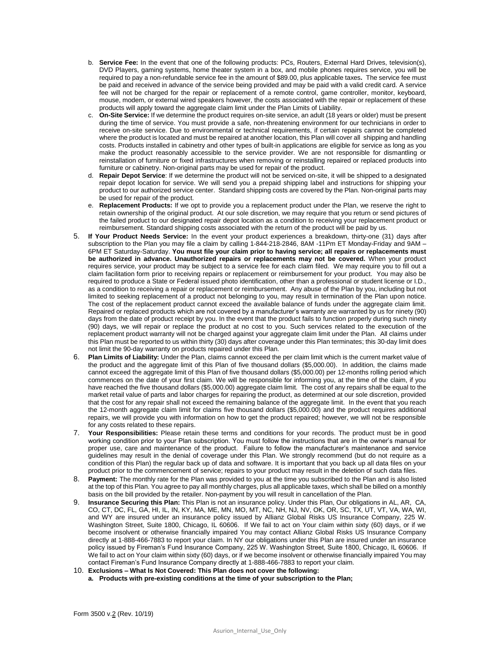- b. **Service Fee:** In the event that one of the following products: PCs, Routers, External Hard Drives, television(s), DVD Players, gaming systems, home theater system in a box, and mobile phones requires service, you will be required to pay a non-refundable service fee in the amount of \$89.00, plus applicable taxes**.** The service fee must be paid and received in advance of the service being provided and may be paid with a valid credit card. A service fee will not be charged for the repair or replacement of a remote control, game controller, monitor, keyboard, mouse, modem, or external wired speakers however, the costs associated with the repair or replacement of these products will apply toward the aggregate claim limit under the Plan Limits of Liability.
- c. **On-Site Service:** If we determine the product requires on-site service, an adult (18 years or older) must be present during the time of service. You must provide a safe, non-threatening environment for our technicians in order to receive on-site service. Due to environmental or technical requirements, if certain repairs cannot be completed where the product is located and must be repaired at another location, this Plan will cover all shipping and handling costs. Products installed in cabinetry and other types of built-in applications are eligible for service as long as you make the product reasonably accessible to the service provider. We are not responsible for dismantling or reinstallation of furniture or fixed infrastructures when removing or reinstalling repaired or replaced products into furniture or cabinetry. Non-original parts may be used for repair of the product.
- d. **Repair Depot Service**: If we determine the product will not be serviced on-site, it will be shipped to a designated repair depot location for service. We will send you a prepaid shipping label and instructions for shipping your product to our authorized service center. Standard shipping costs are covered by the Plan. Non-original parts may be used for repair of the product.
- e. **Replacement Products:** If we opt to provide you a replacement product under the Plan, we reserve the right to retain ownership of the original product. At our sole discretion, we may require that you return or send pictures of the failed product to our designated repair depot location as a condition to receiving your replacement product or reimbursement. Standard shipping costs associated with the return of the product will be paid by us.
- 5. **If Your Product Needs Service:** In the event your product experiences a breakdown, thirty-one (31) days after subscription to the Plan you may file a claim by calling 1-844-218-2846, 8AM -11Pm ET Monday-Friday and 9AM – 6PM ET Saturday-Saturday. **You must file your claim prior to having service; all repairs or replacements must be authorized in advance. Unauthorized repairs or replacements may not be covered.** When your product requires service, your product may be subject to a service fee for each claim filed. We may require you to fill out a claim facilitation form prior to receiving repairs or replacement or reimbursement for your product. You may also be required to produce a State or Federal issued photo identification, other than a professional or student license or I.D., as a condition to receiving a repair or replacement or reimbursement. Any abuse of the Plan by you, including but not limited to seeking replacement of a product not belonging to you, may result in termination of the Plan upon notice. The cost of the replacement product cannot exceed the available balance of funds under the aggregate claim limit. Repaired or replaced products which are not covered by a manufacturer's warranty are warranted by us for ninety (90) days from the date of product receipt by you. In the event that the product fails to function properly during such ninety (90) days, we will repair or replace the product at no cost to you. Such services related to the execution of the replacement product warranty will not be charged against your aggregate claim limit under the Plan. All claims under this Plan must be reported to us within thirty (30) days after coverage under this Plan terminates; this 30-day limit does not limit the 90-day warranty on products repaired under this Plan.
- 6. **Plan Limits of Liability:** Under the Plan, claims cannot exceed the per claim limit which is the current market value of the product and the aggregate limit of this Plan of five thousand dollars (\$5,000.00). In addition, the claims made cannot exceed the aggregate limit of this Plan of five thousand dollars (\$5,000.00) per 12-months rolling period which commences on the date of your first claim. We will be responsible for informing you, at the time of the claim, if you have reached the five thousand dollars (\$5,000.00) aggregate claim limit. The cost of any repairs shall be equal to the market retail value of parts and labor charges for repairing the product, as determined at our sole discretion, provided that the cost for any repair shall not exceed the remaining balance of the aggregate limit. In the event that you reach the 12-month aggregate claim limit for claims five thousand dollars (\$5,000.00) and the product requires additional repairs, we will provide you with information on how to get the product repaired; however, we will not be responsible for any costs related to these repairs.
- 7. **Your Responsibilities:** Please retain these terms and conditions for your records. The product must be in good working condition prior to your Plan subscription. You must follow the instructions that are in the owner's manual for proper use, care and maintenance of the product. Failure to follow the manufacturer's maintenance and service guidelines may result in the denial of coverage under this Plan. We strongly recommend (but do not require as a condition of this Plan) the regular back up of data and software. It is important that you back up all data files on your product prior to the commencement of service; repairs to your product may result in the deletion of such data files.
- 8. **Payment:** The monthly rate for the Plan was provided to you at the time you subscribed to the Plan and is also listed at the top of this Plan. You agree to pay all monthly charges, plus all applicable taxes, which shall be billed on a monthly basis on the bill provided by the retailer. Non-payment by you will result in cancellation of the Plan.
- 9. **Insurance Securing this Plan:** This Plan is not an insurance policy. Under this Plan, Our obligations in AL, AR, CA, CO, CT, DC, FL, GA, HI, IL, IN, KY, MA, ME, MN, MO, MT, NC, NH, NJ, NV, OK, OR, SC, TX, UT, VT, VA, WA, WI, and WY are insured under an insurance policy issued by Allianz Global Risks US Insurance Company, 225 W. Washington Street, Suite 1800, Chicago, IL 60606. If We fail to act on Your claim within sixty (60) days, or if we become insolvent or otherwise financially impaired You may contact Allianz Global Risks US Insurance Company directly at 1-888-466-7883 to report your claim. In NY our obligations under this Plan are insured under an insurance policy issued by Fireman's Fund Insurance Company, 225 W. Washington Street, Suite 1800, Chicago, IL 60606. If We fail to act on Your claim within sixty (60) days, or if we become insolvent or otherwise financially impaired You may contact Fireman's Fund Insurance Company directly at 1-888-466-7883 to report your claim.
- 10. **Exclusions – What Is Not Covered: This Plan does not cover the following:**
	- **a. Products with pre-existing conditions at the time of your subscription to the Plan;**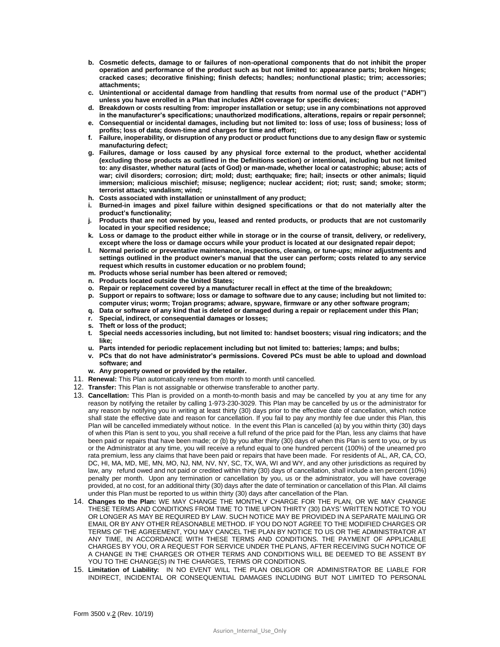- **b. Cosmetic defects, damage to or failures of non-operational components that do not inhibit the proper operation and performance of the product such as but not limited to: appearance parts; broken hinges; cracked cases; decorative finishing; finish defects; handles; nonfunctional plastic; trim; accessories; attachments;**
- **c. Unintentional or accidental damage from handling that results from normal use of the product ("ADH") unless you have enrolled in a Plan that includes ADH coverage for specific devices;**
- **d. Breakdown or costs resulting from: improper installation or setup; use in any combinations not approved in the manufacturer's specifications; unauthorized modifications, alterations, repairs or repair personnel;**
- **e. Consequential or incidental damages, including but not limited to: loss of use; loss of business; loss of profits; loss of data; down-time and charges for time and effort;**
- **f. Failure, inoperability, or disruption of any product or product functions due to any design flaw or systemic manufacturing defect;**
- **g. Failures, damage or loss caused by any physical force external to the product, whether accidental (excluding those products as outlined in the Definitions section) or intentional, including but not limited to: any disaster, whether natural (acts of God) or man-made, whether local or catastrophic; abuse; acts of war; civil disorders; corrosion; dirt; mold; dust; earthquake; fire; hail; insects or other animals; liquid immersion; malicious mischief; misuse; negligence; nuclear accident; riot; rust; sand; smoke; storm; terrorist attack; vandalism; wind;**
- **h. Costs associated with installation or uninstallment of any product;**
- **i. Burned-in images and pixel failure within designed specifications or that do not materially alter the product's functionality;**
- **j. Products that are not owned by you, leased and rented products, or products that are not customarily located in your specified residence;**
- **k. Loss or damage to the product either while in storage or in the course of transit, delivery, or redelivery, except where the loss or damage occurs while your product is located at our designated repair depot;**
- **l. Normal periodic or preventative maintenance, inspections, cleaning, or tune-ups; minor adjustments and settings outlined in the product owner's manual that the user can perform; costs related to any service request which results in customer education or no problem found;**
- **m. Products whose serial number has been altered or removed;**
- **n. Products located outside the United States;**
- **o. Repair or replacement covered by a manufacturer recall in effect at the time of the breakdown;**
- **p. Support or repairs to software; loss or damage to software due to any cause; including but not limited to: computer virus; worm; Trojan programs; adware, spyware, firmware or any other software program;**
- **q. Data or software of any kind that is deleted or damaged during a repair or replacement under this Plan;**
- **r. Special, indirect, or consequential damages or losses;**
- **s. Theft or loss of the product;**
- **t. Special needs accessories including, but not limited to: handset boosters; visual ring indicators; and the like;**
- **u. Parts intended for periodic replacement including but not limited to: batteries; lamps; and bulbs;**
- **v. PCs that do not have administrator's permissions. Covered PCs must be able to upload and download software; and**
- **w. Any property owned or provided by the retailer.**
- 11. **Renewal:** This Plan automatically renews from month to month until cancelled.
- 12. **Transfer:** This Plan is not assignable or otherwise transferable to another party.
- 13. **Cancellation:** This Plan is provided on a month-to-month basis and may be cancelled by you at any time for any reason by notifying the retailer by calling 1-973-230-3029. This Plan may be cancelled by us or the administrator for any reason by notifying you in writing at least thirty (30) days prior to the effective date of cancellation, which notice shall state the effective date and reason for cancellation. If you fail to pay any monthly fee due under this Plan, this Plan will be cancelled immediately without notice. In the event this Plan is cancelled (a) by you within thirty (30) days of when this Plan is sent to you, you shall receive a full refund of the price paid for the Plan, less any claims that have been paid or repairs that have been made; or (b) by you after thirty (30) days of when this Plan is sent to you, or by us or the Administrator at any time, you will receive a refund equal to one hundred percent (100%) of the unearned pro rata premium, less any claims that have been paid or repairs that have been made. For residents of AL, AR, CA, CO, DC, HI, MA, MD, ME, MN, MO, NJ, NM, NV, NY, SC, TX, WA, WI and WY, and any other jurisdictions as required by law, any refund owed and not paid or credited within thirty (30) days of cancellation, shall include a ten percent (10%) penalty per month. Upon any termination or cancellation by you, us or the administrator, you will have coverage provided, at no cost, for an additional thirty (30) days after the date of termination or cancellation of this Plan. All claims under this Plan must be reported to us within thirty (30) days after cancellation of the Plan.
- 14. **Changes to the Plan:** WE MAY CHANGE THE MONTHLY CHARGE FOR THE PLAN, OR WE MAY CHANGE THESE TERMS AND CONDITIONS FROM TIME TO TIME UPON THIRTY (30) DAYS' WRITTEN NOTICE TO YOU OR LONGER AS MAY BE REQUIRED BY LAW. SUCH NOTICE MAY BE PROVIDED IN A SEPARATE MAILING OR EMAIL OR BY ANY OTHER REASONABLE METHOD. IF YOU DO NOT AGREE TO THE MODIFIED CHARGES OR TERMS OF THE AGREEMENT, YOU MAY CANCEL THE PLAN BY NOTICE TO US OR THE ADMINISTRATOR AT ANY TIME, IN ACCORDANCE WITH THESE TERMS AND CONDITIONS. THE PAYMENT OF APPLICABLE CHARGES BY YOU, OR A REQUEST FOR SERVICE UNDER THE PLANS, AFTER RECEIVING SUCH NOTICE OF A CHANGE IN THE CHARGES OR OTHER TERMS AND CONDITIONS WILL BE DEEMED TO BE ASSENT BY YOU TO THE CHANGE(S) IN THE CHARGES, TERMS OR CONDITIONS.
- 15. **Limitation of Liability:** IN NO EVENT WILL THE PLAN OBLIGOR OR ADMINISTRATOR BE LIABLE FOR INDIRECT, INCIDENTAL OR CONSEQUENTIAL DAMAGES INCLUDING BUT NOT LIMITED TO PERSONAL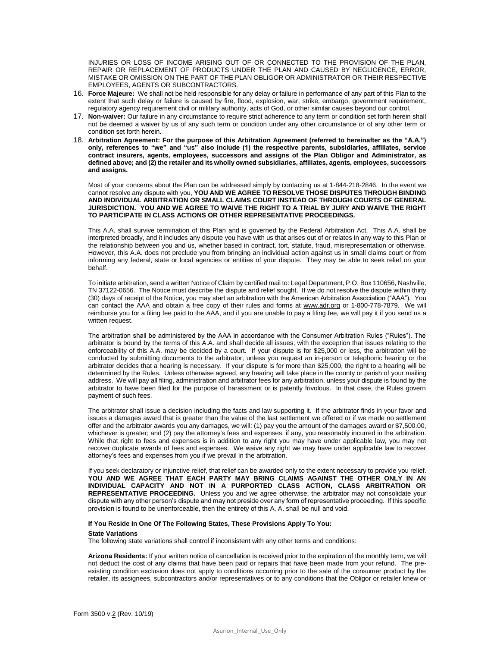INJURIES OR LOSS OF INCOME ARISING OUT OF OR CONNECTED TO THE PROVISION OF THE PLAN, REPAIR OR REPLACEMENT OF PRODUCTS UNDER THE PLAN AND CAUSED BY NEGLIGENCE, ERROR, MISTAKE OR OMISSION ON THE PART OF THE PLAN OBLIGOR OR ADMINISTRATOR OR THEIR RESPECTIVE EMPLOYEES, AGENTS OR SUBCONTRACTORS.

- 16. **Force Majeure:** We shall not be held responsible for any delay or failure in performance of any part of this Plan to the extent that such delay or failure is caused by fire, flood, explosion, war, strike, embargo, government requirement, regulatory agency requirement civil or military authority, acts of God, or other similar causes beyond our control.
- 17. **Non-waiver:** Our failure in any circumstance to require strict adherence to any term or condition set forth herein shall not be deemed a waiver by us of any such term or condition under any other circumstance or of any other term or condition set forth herein.
- 18. **Arbitration Agreement: For the purpose of this Arbitration Agreement (referred to hereinafter as the "A.A.") only, references to "we" and "us" also include (1) the respective parents, subsidiaries, affiliates, service contract insurers, agents, employees, successors and assigns of the Plan Obligor and Administrator, as defined above; and (2) the retailer and its wholly owned subsidiaries, affiliates, agents, employees, successors and assigns.**

Most of your concerns about the Plan can be addressed simply by contacting us at 1-844-218-2846. In the event we cannot resolve any dispute with you, **YOU AND WE AGREE TO RESOLVE THOSE DISPUTES THROUGH BINDING AND INDIVIDUAL ARBITRATION OR SMALL CLAIMS COURT INSTEAD OF THROUGH COURTS OF GENERAL JURISDICTION. YOU AND WE AGREE TO WAIVE THE RIGHT TO A TRIAL BY JURY AND WAIVE THE RIGHT TO PARTICIPATE IN CLASS ACTIONS OR OTHER REPRESENTATIVE PROCEEDINGS.** 

This A.A. shall survive termination of this Plan and is governed by the Federal Arbitration Act. This A.A. shall be interpreted broadly, and it includes any dispute you have with us that arises out of or relates in any way to this Plan or the relationship between you and us, whether based in contract, tort, statute, fraud, misrepresentation or otherwise. However, this A.A. does not preclude you from bringing an individual action against us in small claims court or from informing any federal, state or local agencies or entities of your dispute. They may be able to seek relief on your behalf.

To initiate arbitration, send a written Notice of Claim by certified mail to: Legal Department, P.O. Box 110656, Nashville, TN 37122-0656. The Notice must describe the dispute and relief sought. If we do not resolve the dispute within thirty (30) days of receipt of the Notice, you may start an arbitration with the American Arbitration Association ("AAA"). You can contact the AAA and obtain a free copy of their rules and forms at [www.adr.org](http://www.adr.org/) or 1-800-778-7879. We will reimburse you for a filing fee paid to the AAA, and if you are unable to pay a filing fee, we will pay it if you send us a written request.

The arbitration shall be administered by the AAA in accordance with the Consumer Arbitration Rules ("Rules"). The arbitrator is bound by the terms of this A.A. and shall decide all issues, with the exception that issues relating to the enforceability of this A.A. may be decided by a court. If your dispute is for \$25,000 or less, the arbitration will be conducted by submitting documents to the arbitrator, unless you request an in-person or telephonic hearing or the arbitrator decides that a hearing is necessary. If your dispute is for more than \$25,000, the right to a hearing will be determined by the Rules. Unless otherwise agreed, any hearing will take place in the county or parish of your mailing address. We will pay all filing, administration and arbitrator fees for any arbitration, unless your dispute is found by the arbitrator to have been filed for the purpose of harassment or is patently frivolous. In that case, the Rules govern payment of such fees.

The arbitrator shall issue a decision including the facts and law supporting it. If the arbitrator finds in your favor and issues a damages award that is greater than the value of the last settlement we offered or if we made no settlement offer and the arbitrator awards you any damages, we will: (1) pay you the amount of the damages award or \$7,500.00, whichever is greater; and (2) pay the attorney's fees and expenses, if any, you reasonably incurred in the arbitration. While that right to fees and expenses is in addition to any right you may have under applicable law, you may not recover duplicate awards of fees and expenses. We waive any right we may have under applicable law to recover attorney's fees and expenses from you if we prevail in the arbitration.

If you seek declaratory or injunctive relief, that relief can be awarded only to the extent necessary to provide you relief. **YOU AND WE AGREE THAT EACH PARTY MAY BRING CLAIMS AGAINST THE OTHER ONLY IN AN INDIVIDUAL CAPACITY AND NOT IN A PURPORTED CLASS ACTION, CLASS ARBITRATION OR REPRESENTATIVE PROCEEDING.** Unless you and we agree otherwise, the arbitrator may not consolidate your dispute with any other person's dispute and may not preside over any form of representative proceeding. If this specific provision is found to be unenforceable, then the entirety of this A. A. shall be null and void.

## **If You Reside In One Of The Following States, These Provisions Apply To You:**

## **State Variations**

The following state variations shall control if inconsistent with any other terms and conditions:

**Arizona Residents:** If your written notice of cancellation is received prior to the expiration of the monthly term, we will not deduct the cost of any claims that have been paid or repairs that have been made from your refund. The preexisting condition exclusion does not apply to conditions occurring prior to the sale of the consumer product by the retailer, its assignees, subcontractors and/or representatives or to any conditions that the Obligor or retailer knew or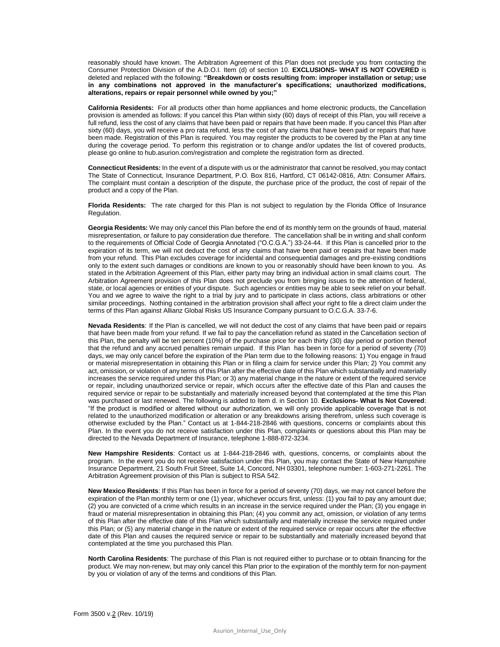reasonably should have known. The Arbitration Agreement of this Plan does not preclude you from contacting the Consumer Protection Division of the A.D.O.I. Item (d) of section 10. **EXCLUSIONS- WHAT IS NOT COVERED** is deleted and replaced with the following: **"Breakdown or costs resulting from: improper installation or setup; use in any combinations not approved in the manufacturer's specifications; unauthorized modifications, alterations, repairs or repair personnel while owned by you;"**

**California Residents:** For all products other than home appliances and home electronic products, the Cancellation provision is amended as follows: If you cancel this Plan within sixty (60) days of receipt of this Plan, you will receive a full refund, less the cost of any claims that have been paid or repairs that have been made. If you cancel this Plan after sixty (60) days, you will receive a pro rata refund, less the cost of any claims that have been paid or repairs that have been made. Registration of this Plan is required. You may register the products to be covered by the Plan at any time during the coverage period. To perform this registration or to change and/or updates the list of covered products, please go online to hub.asurion.com/registration and complete the registration form as directed.

**Connecticut Residents:** In the event of a dispute with us or the administrator that cannot be resolved, you may contact The State of Connecticut, Insurance Department, P.O. Box 816, Hartford, CT 06142-0816, Attn: Consumer Affairs. The complaint must contain a description of the dispute, the purchase price of the product, the cost of repair of the product and a copy of the Plan.

**Florida Residents:** The rate charged for this Plan is not subject to regulation by the Florida Office of Insurance Regulation.

**Georgia Residents:** We may only cancel this Plan before the end of its monthly term on the grounds of fraud, material misrepresentation, or failure to pay consideration due therefore. The cancellation shall be in writing and shall conform to the requirements of Official Code of Georgia Annotated ("O.C.G.A.") 33-24-44. If this Plan is cancelled prior to the expiration of its term, we will not deduct the cost of any claims that have been paid or repairs that have been made from your refund. This Plan excludes coverage for incidental and consequential damages and pre-existing conditions only to the extent such damages or conditions are known to you or reasonably should have been known to you. As stated in the Arbitration Agreement of this Plan, either party may bring an individual action in small claims court. The Arbitration Agreement provision of this Plan does not preclude you from bringing issues to the attention of federal, state, or local agencies or entities of your dispute. Such agencies or entities may be able to seek relief on your behalf. You and we agree to waive the right to a trial by jury and to participate in class actions, class arbitrations or other similar proceedings. Nothing contained in the arbitration provision shall affect your right to file a direct claim under the terms of this Plan against Allianz Global Risks US Insurance Company pursuant to O.C.G.A. 33-7-6.

**Nevada Residents**: If the Plan is cancelled, we will not deduct the cost of any claims that have been paid or repairs that have been made from your refund. If we fail to pay the cancellation refund as stated in the Cancellation section of this Plan, the penalty will be ten percent (10%) of the purchase price for each thirty (30) day period or portion thereof that the refund and any accrued penalties remain unpaid. If this Plan has been in force for a period of seventy (70) days, we may only cancel before the expiration of the Plan term due to the following reasons: 1) You engage in fraud or material misrepresentation in obtaining this Plan or in filing a claim for service under this Plan; 2) You commit any act, omission, or violation of any terms of this Plan after the effective date of this Plan which substantially and materially increases the service required under this Plan; or 3) any material change in the nature or extent of the required service or repair, including unauthorized service or repair, which occurs after the effective date of this Plan and causes the required service or repair to be substantially and materially increased beyond that contemplated at the time this Plan was purchased or last renewed. The following is added to Item d. in Section 10. **Exclusions- What Is Not Covered**: "If the product is modified or altered without our authorization, we will only provide applicable coverage that is not related to the unauthorized modification or alteration or any breakdowns arising therefrom, unless such coverage is otherwise excluded by the Plan." Contact us at 1-844-218-2846 with questions, concerns or complaints about this Plan. In the event you do not receive satisfaction under this Plan, complaints or questions about this Plan may be directed to the Nevada Department of Insurance, telephone 1-888-872-3234.

**New Hampshire Residents**: Contact us at 1-844-218-2846 with, questions, concerns, or complaints about the program. In the event you do not receive satisfaction under this Plan, you may contact the State of New Hampshire Insurance Department, 21 South Fruit Street, Suite 14, Concord, NH 03301, telephone number: 1-603-271-2261. The Arbitration Agreement provision of this Plan is subject to RSA 542.

**New Mexico Residents**: If this Plan has been in force for a period of seventy (70) days, we may not cancel before the expiration of the Plan monthly term or one (1) year, whichever occurs first, unless: (1) you fail to pay any amount due; (2) you are convicted of a crime which results in an increase in the service required under the Plan; (3) you engage in fraud or material misrepresentation in obtaining this Plan; (4) you commit any act, omission, or violation of any terms of this Plan after the effective date of this Plan which substantially and materially increase the service required under this Plan; or (5) any material change in the nature or extent of the required service or repair occurs after the effective date of this Plan and causes the required service or repair to be substantially and materially increased beyond that contemplated at the time you purchased this Plan.

**North Carolina Residents**: The purchase of this Plan is not required either to purchase or to obtain financing for the product. We may non-renew, but may only cancel this Plan prior to the expiration of the monthly term for non-payment by you or violation of any of the terms and conditions of this Plan.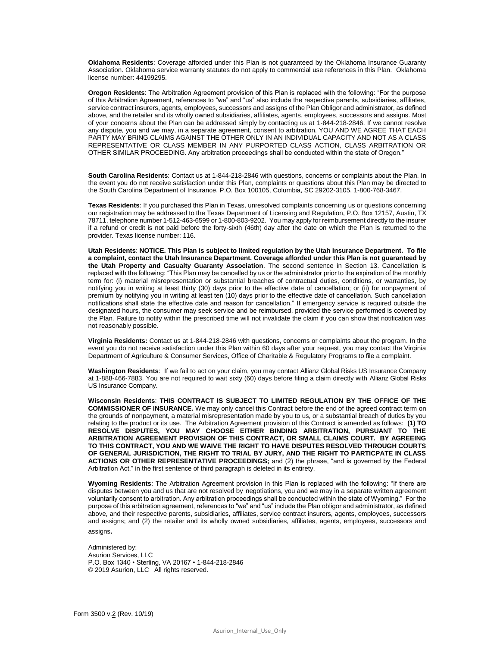**Oklahoma Residents**: Coverage afforded under this Plan is not guaranteed by the Oklahoma Insurance Guaranty Association. Oklahoma service warranty statutes do not apply to commercial use references in this Plan. Oklahoma license number: 44199295.

**Oregon Residents**: The Arbitration Agreement provision of this Plan is replaced with the following: "For the purpose of this Arbitration Agreement, references to "we" and "us" also include the respective parents, subsidiaries, affiliates, service contract insurers, agents, employees, successors and assigns of the Plan Obligor and administrator, as defined above, and the retailer and its wholly owned subsidiaries, affiliates, agents, employees, successors and assigns. Most of your concerns about the Plan can be addressed simply by contacting us at 1-844-218-2846. If we cannot resolve any dispute, you and we may, in a separate agreement, consent to arbitration. YOU AND WE AGREE THAT EACH PARTY MAY BRING CLAIMS AGAINST THE OTHER ONLY IN AN INDIVIDUAL CAPACITY AND NOT AS A CLASS REPRESENTATIVE OR CLASS MEMBER IN ANY PURPORTED CLASS ACTION, CLASS ARBITRATION OR OTHER SIMILAR PROCEEDING. Any arbitration proceedings shall be conducted within the state of Oregon."

**South Carolina Residents**: Contact us at 1-844-218-2846 with questions, concerns or complaints about the Plan. In the event you do not receive satisfaction under this Plan, complaints or questions about this Plan may be directed to the South Carolina Department of Insurance, P.O. Box 100105, Columbia, SC 29202-3105, 1-800-768-3467.

**Texas Residents**: If you purchased this Plan in Texas, unresolved complaints concerning us or questions concerning our registration may be addressed to the Texas Department of Licensing and Regulation, P.O. Box 12157, Austin, TX 78711, telephone number 1-512-463-6599 or 1-800-803-9202. You may apply for reimbursement directly to the insurer if a refund or credit is not paid before the forty-sixth (46th) day after the date on which the Plan is returned to the provider. Texas license number: 116.

**Utah Residents**: **NOTICE. This Plan is subject to limited regulation by the Utah Insurance Department. To file a complaint, contact the Utah Insurance Department. Coverage afforded under this Plan is not guaranteed by the Utah Property and Casualty Guaranty Association**. The second sentence in Section 13. Cancellation is replaced with the following: "This Plan may be cancelled by us or the administrator prior to the expiration of the monthly term for: (i) material misrepresentation or substantial breaches of contractual duties, conditions, or warranties, by notifying you in writing at least thirty (30) days prior to the effective date of cancellation; or (ii) for nonpayment of premium by notifying you in writing at least ten (10) days prior to the effective date of cancellation. Such cancellation notifications shall state the effective date and reason for cancellation." If emergency service is required outside the designated hours, the consumer may seek service and be reimbursed, provided the service performed is covered by the Plan. Failure to notify within the prescribed time will not invalidate the claim if you can show that notification was not reasonably possible.

**Virginia Residents:** Contact us at 1-844-218-2846 with questions, concerns or complaints about the program. In the event you do not receive satisfaction under this Plan within 60 days after your request, you may contact the Virginia Department of Agriculture & Consumer Services, Office of Charitable & Regulatory Programs to file a complaint.

**Washington Residents**: If we fail to act on your claim, you may contact Allianz Global Risks US Insurance Company at 1-888-466-7883. You are not required to wait sixty (60) days before filing a claim directly with Allianz Global Risks US Insurance Company.

**Wisconsin Residents**: **THIS CONTRACT IS SUBJECT TO LIMITED REGULATION BY THE OFFICE OF THE COMMISSIONER OF INSURANCE.** We may only cancel this Contract before the end of the agreed contract term on the grounds of nonpayment, a material misrepresentation made by you to us, or a substantial breach of duties by you relating to the product or its use. The Arbitration Agreement provision of this Contract is amended as follows: **(1) TO RESOLVE DISPUTES, YOU MAY CHOOSE EITHER BINDING ARBITRATION, PURSUANT TO THE ARBITRATION AGREEMENT PROVISION OF THIS CONTRACT, OR SMALL CLAIMS COURT. BY AGREEING TO THIS CONTRACT, YOU AND WE WAIVE THE RIGHT TO HAVE DISPUTES RESOLVED THROUGH COURTS OF GENERAL JURISDICTION, THE RIGHT TO TRIAL BY JURY, AND THE RIGHT TO PARTICPATE IN CLASS ACTIONS OR OTHER REPRESENTATIVE PROCEEDINGS;** and (2) the phrase, "and is governed by the Federal Arbitration Act." in the first sentence of third paragraph is deleted in its entirety.

**Wyoming Residents**: The Arbitration Agreement provision in this Plan is replaced with the following: "If there are disputes between you and us that are not resolved by negotiations, you and we may in a separate written agreement voluntarily consent to arbitration. Any arbitration proceedings shall be conducted within the state of Wyoming." For the purpose of this arbitration agreement, references to "we" and "us" include the Plan obligor and administrator, as defined above, and their respective parents, subsidiaries, affiliates, service contract insurers, agents, employees, successors and assigns; and (2) the retailer and its wholly owned subsidiaries, affiliates, agents, employees, successors and assigns.

Administered by: Asurion Services, LLC P.O. Box 1340 • Sterling, VA 20167 • 1-844-218-2846 © 2019 Asurion, LLC All rights reserved.